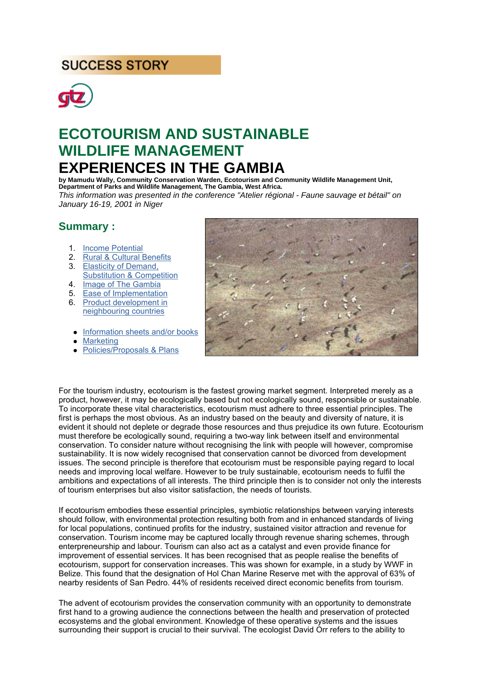# **SUCCESS STORY**



# **ECOTOURISM AND SUSTAINABLE WILDLIFE MANAGEMENT EXPERIENCES IN THE GAMBIA**

**by Mamudu Wally, Community Conservation Warden, Ecotourism and Community Wildlife Management Unit, Department of Parks and Wildlife Management, The Gambia, West Africa.** *This information was presented in the conference "Atelier régional - Faune sauvage et bétail" on January 16-19, 2001 in Niger*

#### **Summary :**

- 1. Income Potential
- 2. Rural & Cultural Benefits
- 3. Elasticity of Demand, Substitution & Competition
- 4. Image of The Gambia
- 5. Ease of Implementation
- 6. Product development in neighbouring countries
- $\bullet$  Information sheets and/or books
- **Marketing**
- Policies/Proposals & Plans



For the tourism industry, ecotourism is the fastest growing market segment. Interpreted merely as a product, however, it may be ecologically based but not ecologically sound, responsible or sustainable. To incorporate these vital characteristics, ecotourism must adhere to three essential principles. The first is perhaps the most obvious. As an industry based on the beauty and diversity of nature, it is evident it should not deplete or degrade those resources and thus prejudice its own future. Ecotourism must therefore be ecologically sound, requiring a two-way link between itself and environmental conservation. To consider nature without recognising the link with people will however, compromise sustainability. It is now widely recognised that conservation cannot be divorced from development issues. The second principle is therefore that ecotourism must be responsible paying regard to local needs and improving local welfare. However to be truly sustainable, ecotourism needs to fulfil the ambitions and expectations of all interests. The third principle then is to consider not only the interests of tourism enterprises but also visitor satisfaction, the needs of tourists.

If ecotourism embodies these essential principles, symbiotic relationships between varying interests should follow, with environmental protection resulting both from and in enhanced standards of living for local populations, continued profits for the industry, sustained visitor attraction and revenue for conservation. Tourism income may be captured locally through revenue sharing schemes, through enterpreneurship and labour. Tourism can also act as a catalyst and even provide finance for improvement of essential services. It has been recognised that as people realise the benefits of ecotourism, support for conservation increases. This was shown for example, in a study by WWF in Belize. This found that the designation of Hol Chan Marine Reserve met with the approval of 63% of nearby residents of San Pedro. 44% of residents received direct economic benefits from tourism.

The advent of ecotourism provides the conservation community with an opportunity to demonstrate first hand to a growing audience the connections between the health and preservation of protected ecosystems and the global environment. Knowledge of these operative systems and the issues surrounding their support is crucial to their survival. The ecologist David Orr refers to the ability to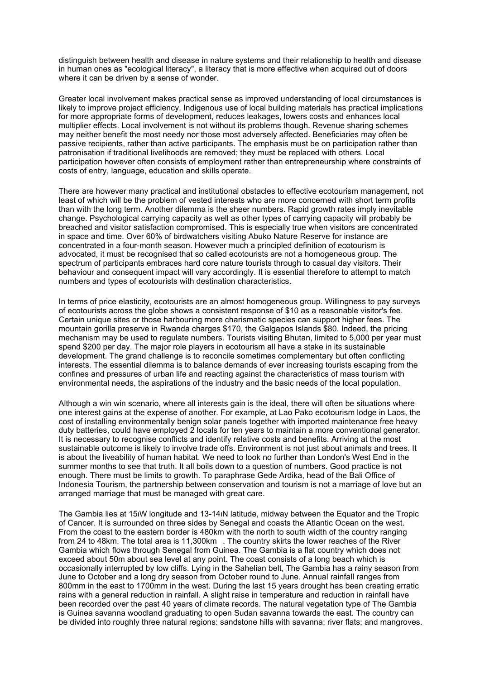distinguish between health and disease in nature systems and their relationship to health and disease in human ones as "ecological literacy", a literacy that is more effective when acquired out of doors where it can be driven by a sense of wonder.

Greater local involvement makes practical sense as improved understanding of local circumstances is likely to improve project efficiency. Indigenous use of local building materials has practical implications for more appropriate forms of development, reduces leakages, lowers costs and enhances local multiplier effects. Local involvement is not without its problems though. Revenue sharing schemes may neither benefit the most needy nor those most adversely affected. Beneficiaries may often be passive recipients, rather than active participants. The emphasis must be on participation rather than patronisation if traditional livelihoods are removed; they must be replaced with others. Local participation however often consists of employment rather than entrepreneurship where constraints of costs of entry, language, education and skills operate.

There are however many practical and institutional obstacles to effective ecotourism management, not least of which will be the problem of vested interests who are more concerned with short term profits than with the long term. Another dilemma is the sheer numbers. Rapid growth rates imply inevitable change. Psychological carrying capacity as well as other types of carrying capacity will probably be breached and visitor satisfaction compromised. This is especially true when visitors are concentrated in space and time. Over 60% of birdwatchers visiting Abuko Nature Reserve for instance are concentrated in a four-month season. However much a principled definition of ecotourism is advocated, it must be recognised that so called ecotourists are not a homogeneous group. The spectrum of participants embraces hard core nature tourists through to casual day visitors. Their behaviour and consequent impact will vary accordingly. It is essential therefore to attempt to match numbers and types of ecotourists with destination characteristics.

In terms of price elasticity, ecotourists are an almost homogeneous group. Willingness to pay surveys of ecotourists across the globe shows a consistent response of \$10 as a reasonable visitor's fee. Certain unique sites or those harbouring more charismatic species can support higher fees. The mountain gorilla preserve in Rwanda charges \$170, the Galgapos Islands \$80. Indeed, the pricing mechanism may be used to regulate numbers. Tourists visiting Bhutan, limited to 5,000 per year must spend \$200 per day. The major role players in ecotourism all have a stake in its sustainable development. The grand challenge is to reconcile sometimes complementary but often conflicting interests. The essential dilemma is to balance demands of ever increasing tourists escaping from the confines and pressures of urban life and reacting against the characteristics of mass tourism with environmental needs, the aspirations of the industry and the basic needs of the local population.

Although a win win scenario, where all interests gain is the ideal, there will often be situations where one interest gains at the expense of another. For example, at Lao Pako ecotourism lodge in Laos, the cost of installing environmentally benign solar panels together with imported maintenance free heavy duty batteries, could have employed 2 locals for ten years to maintain a more conventional generator. It is necessary to recognise conflicts and identify relative costs and benefits. Arriving at the most sustainable outcome is likely to involve trade offs. Environment is not just about animals and trees. It is about the liveability of human habitat. We need to look no further than London's West End in the summer months to see that truth. It all boils down to a question of numbers. Good practice is not enough. There must be limits to growth. To paraphrase Gede Ardika, head of the Bali Office of Indonesia Tourism, the partnership between conservation and tourism is not a marriage of love but an arranged marriage that must be managed with great care.

The Gambia lies at 15W longitude and 13-14N latitude, midway between the Equator and the Tropic of Cancer. It is surrounded on three sides by Senegal and coasts the Atlantic Ocean on the west. From the coast to the eastern border is 480km with the north to south width of the country ranging from 24 to 48km. The total area is 11,300km. The country skirts the lower reaches of the River Gambia which flows through Senegal from Guinea. The Gambia is a flat country which does not exceed about 50m about sea level at any point. The coast consists of a long beach which is occasionally interrupted by low cliffs. Lying in the Sahelian belt, The Gambia has a rainy season from June to October and a long dry season from October round to June. Annual rainfall ranges from 800mm in the east to 1700mm in the west. During the last 15 years drought has been creating erratic rains with a general reduction in rainfall. A slight raise in temperature and reduction in rainfall have been recorded over the past 40 years of climate records. The natural vegetation type of The Gambia is Guinea savanna woodland graduating to open Sudan savanna towards the east. The country can be divided into roughly three natural regions: sandstone hills with savanna; river flats; and mangroves.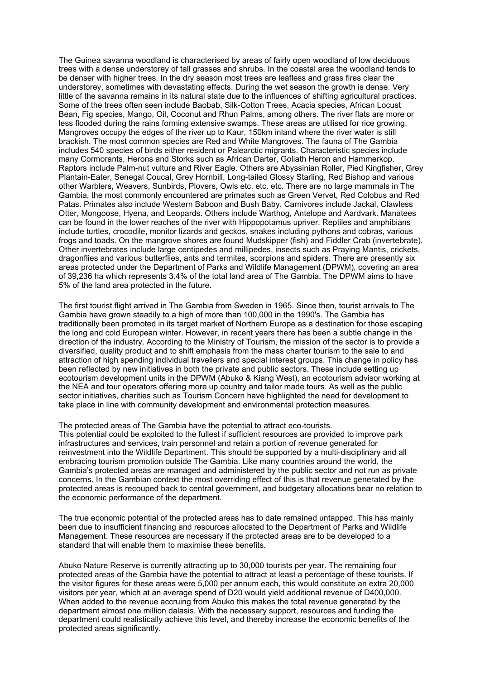The Guinea savanna woodland is characterised by areas of fairly open woodland of low deciduous trees with a dense understorey of tall grasses and shrubs. In the coastal area the woodland tends to be denser with higher trees. In the dry season most trees are leafless and grass fires clear the understorey, sometimes with devastating effects. During the wet season the growth is dense. Very little of the savanna remains in its natural state due to the influences of shifting agricultural practices. Some of the trees often seen include Baobab, Silk-Cotton Trees, Acacia species, African Locust Bean, Fig species, Mango, Oil, Coconut and Rhun Palms, among others. The river flats are more or less flooded during the rains forming extensive swamps. These areas are utilised for rice growing. Mangroves occupy the edges of the river up to Kaur, 150km inland where the river water is still brackish. The most common species are Red and White Mangroves. The fauna of The Gambia includes 540 species of birds either resident or Palearctic migrants. Characteristic species include many Cormorants, Herons and Storks such as African Darter, Goliath Heron and Hammerkop. Raptors include Palm-nut vulture and River Eagle. Others are Abyssinian Roller, Pied Kingfisher, Grey Plantain-Eater, Senegal Coucal, Grey Hornbill, Long-tailed Glossy Starling, Red Bishop and various other Warblers, Weavers, Sunbirds, Plovers, Owls etc. etc. etc. There are no large mammals in The Gambia, the most commonly encountered are primates such as Green Vervet, Red Colobus and Red Patas. Primates also include Western Baboon and Bush Baby. Carnivores include Jackal, Clawless Otter, Mongoose, Hyena, and Leopards. Others include Warthog, Antelope and Aardvark. Manatees can be found in the lower reaches of the river with Hippopotamus upriver. Reptiles and amphibians include turtles, crocodile, monitor lizards and geckos, snakes including pythons and cobras, various frogs and toads. On the mangrove shores are found Mudskipper (fish) and Fiddler Crab (invertebrate). Other invertebrates include large centipedes and millipedes, insects such as Praying Mantis, crickets, dragonflies and various butterflies, ants and termites, scorpions and spiders. There are presently six areas protected under the Department of Parks and Wildlife Management (DPWM), covering an area of 39,236 ha which represents 3.4% of the total land area of The Gambia. The DPWM aims to have 5% of the land area protected in the future.

The first tourist flight arrived in The Gambia from Sweden in 1965. Since then, tourist arrivals to The Gambia have grown steadily to a high of more than 100,000 in the 1990's. The Gambia has traditionally been promoted in its target market of Northern Europe as a destination for those escaping the long and cold European winter. However, in recent years there has been a subtle change in the direction of the industry. According to the Ministry of Tourism, the mission of the sector is to provide a diversified, quality product and to shift emphasis from the mass charter tourism to the sale to and attraction of high spending individual travellers and special interest groups. This change in policy has been reflected by new initiatives in both the private and public sectors. These include setting up ecotourism development units in the DPWM (Abuko & Kiang West), an ecotourism advisor working at the NEA and tour operators offering more up country and tailor made tours. As well as the public sector initiatives, charities such as Tourism Concern have highlighted the need for development to take place in line with community development and environmental protection measures.

The protected areas of The Gambia have the potential to attract eco-tourists.

This potential could be exploited to the fullest if sufficient resources are provided to improve park infrastructures and services, train personnel and retain a portion of revenue generated for reinvestment into the Wildlife Department. This should be supported by a multi-disciplinary and all embracing tourism promotion outside The Gambia. Like many countries around the world, the Gambia's protected areas are managed and administered by the public sector and not run as private concerns. In the Gambian context the most overriding effect of this is that revenue generated by the protected areas is recouped back to central government, and budgetary allocations bear no relation to the economic performance of the department.

The true economic potential of the protected areas has to date remained untapped. This has mainly been due to insufficient financing and resources allocated to the Department of Parks and Wildlife Management. These resources are necessary if the protected areas are to be developed to a standard that will enable them to maximise these benefits.

Abuko Nature Reserve is currently attracting up to 30,000 tourists per year. The remaining four protected areas of the Gambia have the potential to attract at least a percentage of these tourists. If the visitor figures for these areas were 5,000 per annum each, this would constitute an extra 20,000 visitors per year, which at an average spend of D20 would yield additional revenue of D400,000. When added to the revenue accruing from Abuko this makes the total revenue generated by the department almost one million dalasis. With the necessary support, resources and funding the department could realistically achieve this level, and thereby increase the economic benefits of the protected areas significantly.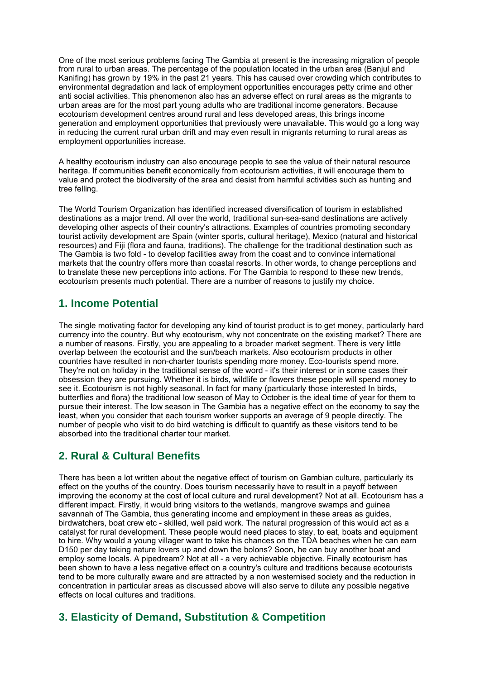One of the most serious problems facing The Gambia at present is the increasing migration of people from rural to urban areas. The percentage of the population located in the urban area (Banjul and Kanifing) has grown by 19% in the past 21 years. This has caused over crowding which contributes to environmental degradation and lack of employment opportunities encourages petty crime and other anti social activities. This phenomenon also has an adverse effect on rural areas as the migrants to urban areas are for the most part young adults who are traditional income generators. Because ecotourism development centres around rural and less developed areas, this brings income generation and employment opportunities that previously were unavailable. This would go a long way in reducing the current rural urban drift and may even result in migrants returning to rural areas as employment opportunities increase.

A healthy ecotourism industry can also encourage people to see the value of their natural resource heritage. If communities benefit economically from ecotourism activities, it will encourage them to value and protect the biodiversity of the area and desist from harmful activities such as hunting and tree felling.

The World Tourism Organization has identified increased diversification of tourism in established destinations as a major trend. All over the world, traditional sun-sea-sand destinations are actively developing other aspects of their country's attractions. Examples of countries promoting secondary tourist activity development are Spain (winter sports, cultural heritage), Mexico (natural and historical resources) and Fiji (flora and fauna, traditions). The challenge for the traditional destination such as The Gambia is two fold - to develop facilities away from the coast and to convince international markets that the country offers more than coastal resorts. In other words, to change perceptions and to translate these new perceptions into actions. For The Gambia to respond to these new trends, ecotourism presents much potential. There are a number of reasons to justify my choice.

## **1. Income Potential**

The single motivating factor for developing any kind of tourist product is to get money, particularly hard currency into the country. But why ecotourism, why not concentrate on the existing market? There are a number of reasons. Firstly, you are appealing to a broader market segment. There is very little overlap between the ecotourist and the sun/beach markets. Also ecotourism products in other countries have resulted in non-charter tourists spending more money. Eco-tourists spend more. They're not on holiday in the traditional sense of the word - it's their interest or in some cases their obsession they are pursuing. Whether it is birds, wildlife or flowers these people will spend money to see it. Ecotourism is not highly seasonal. In fact for many (particularly those interested In birds, butterflies and flora) the traditional low season of May to October is the ideal time of year for them to pursue their interest. The low season in The Gambia has a negative effect on the economy to say the least, when you consider that each tourism worker supports an average of 9 people directly. The number of people who visit to do bird watching is difficult to quantify as these visitors tend to be absorbed into the traditional charter tour market.

## **2. Rural & Cultural Benefits**

There has been a lot written about the negative effect of tourism on Gambian culture, particularly its effect on the youths of the country. Does tourism necessarily have to result in a payoff between improving the economy at the cost of local culture and rural development? Not at all. Ecotourism has a different impact. Firstly, it would bring visitors to the wetlands, mangrove swamps and guinea savannah of The Gambia, thus generating income and employment in these areas as guides, birdwatchers, boat crew etc - skilled, well paid work. The natural progression of this would act as a catalyst for rural development. These people would need places to stay, to eat, boats and equipment to hire. Why would a young villager want to take his chances on the TDA beaches when he can earn D150 per day taking nature lovers up and down the bolons? Soon, he can buy another boat and employ some locals. A pipedream? Not at all - a very achievable objective. Finally ecotourism has been shown to have a less negative effect on a country's culture and traditions because ecotourists tend to be more culturally aware and are attracted by a non westernised society and the reduction in concentration in particular areas as discussed above will also serve to dilute any possible negative effects on local cultures and traditions.

## **3. Elasticity of Demand, Substitution & Competition**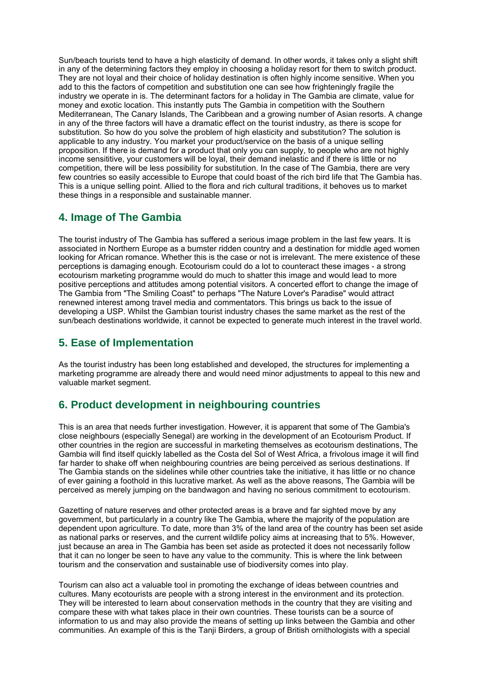Sun/beach tourists tend to have a high elasticity of demand. In other words, it takes only a slight shift in any of the determining factors they employ in choosing a holiday resort for them to switch product. They are not loyal and their choice of holiday destination is often highly income sensitive. When you add to this the factors of competition and substitution one can see how frighteningly fragile the industry we operate in is. The determinant factors for a holiday in The Gambia are climate, value for money and exotic location. This instantly puts The Gambia in competition with the Southern Mediterranean, The Canary Islands, The Caribbean and a growing number of Asian resorts. A change in any of the three factors will have a dramatic effect on the tourist industry, as there is scope for substitution. So how do you solve the problem of high elasticity and substitution? The solution is applicable to any industry. You market your product/service on the basis of a unique selling proposition. If there is demand for a product that only you can supply, to people who are not highly income sensititive, your customers will be loyal, their demand inelastic and if there is little or no competition, there will be less possibility for substitution. In the case of The Gambia, there are very few countries so easily accessible to Europe that could boast of the rich bird life that The Gambia has. This is a unique selling point. Allied to the flora and rich cultural traditions, it behoves us to market these things in a responsible and sustainable manner.

#### **4. Image of The Gambia**

The tourist industry of The Gambia has suffered a serious image problem in the last few years. It is associated in Northern Europe as a bumster ridden country and a destination for middle aged women looking for African romance. Whether this is the case or not is irrelevant. The mere existence of these perceptions is damaging enough. Ecotourism could do a lot to counteract these images - a strong ecotourism marketing programme would do much to shatter this image and would lead to more positive perceptions and attitudes among potential visitors. A concerted effort to change the image of The Gambia from "The Smiling Coast" to perhaps "The Nature Lover's Paradise" would attract renewned interest among travel media and commentators. This brings us back to the issue of developing a USP. Whilst the Gambian tourist industry chases the same market as the rest of the sun/beach destinations worldwide, it cannot be expected to generate much interest in the travel world.

## **5. Ease of Implementation**

As the tourist industry has been long established and developed, the structures for implementing a marketing programme are already there and would need minor adjustments to appeal to this new and valuable market segment.

# **6. Product development in neighbouring countries**

This is an area that needs further investigation. However, it is apparent that some of The Gambia's close neighbours (especially Senegal) are working in the development of an Ecotourism Product. If other countries in the region are successful in marketing themselves as ecotourism destinations, The Gambia will find itself quickly labelled as the Costa del Sol of West Africa, a frivolous image it will find far harder to shake off when neighbouring countries are being perceived as serious destinations. If The Gambia stands on the sidelines while other countries take the initiative, it has little or no chance of ever gaining a foothold in this lucrative market. As well as the above reasons, The Gambia will be perceived as merely jumping on the bandwagon and having no serious commitment to ecotourism.

Gazetting of nature reserves and other protected areas is a brave and far sighted move by any government, but particularly in a country like The Gambia, where the majority of the population are dependent upon agriculture. To date, more than 3% of the land area of the country has been set aside as national parks or reserves, and the current wildlife policy aims at increasing that to 5%. However, just because an area in The Gambia has been set aside as protected it does not necessarily follow that it can no longer be seen to have any value to the community. This is where the link between tourism and the conservation and sustainable use of biodiversity comes into play.

Tourism can also act a valuable tool in promoting the exchange of ideas between countries and cultures. Many ecotourists are people with a strong interest in the environment and its protection. They will be interested to learn about conservation methods in the country that they are visiting and compare these with what takes place in their own countries. These tourists can be a source of information to us and may also provide the means of setting up links between the Gambia and other communities. An example of this is the Tanji Birders, a group of British ornithologists with a special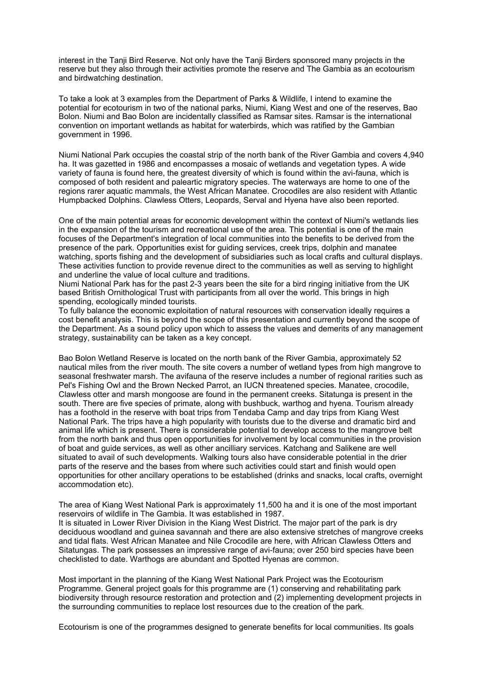interest in the Tanji Bird Reserve. Not only have the Tanji Birders sponsored many projects in the reserve but they also through their activities promote the reserve and The Gambia as an ecotourism and birdwatching destination.

To take a look at 3 examples from the Department of Parks & Wildlife, I intend to examine the potential for ecotourism in two of the national parks, Niumi, Kiang West and one of the reserves, Bao Bolon. Niumi and Bao Bolon are incidentally classified as Ramsar sites. Ramsar is the international convention on important wetlands as habitat for waterbirds, which was ratified by the Gambian government in 1996.

Niumi National Park occupies the coastal strip of the north bank of the River Gambia and covers 4,940 ha. It was gazetted in 1986 and encompasses a mosaic of wetlands and vegetation types. A wide variety of fauna is found here, the greatest diversity of which is found within the avi-fauna, which is composed of both resident and paleartic migratory species. The waterways are home to one of the regions rarer aquatic mammals, the West African Manatee. Crocodiles are also resident with Atlantic Humpbacked Dolphins. Clawless Otters, Leopards, Serval and Hyena have also been reported.

One of the main potential areas for economic development within the context of Niumi's wetlands lies in the expansion of the tourism and recreational use of the area. This potential is one of the main focuses of the Department's integration of local communities into the benefits to be derived from the presence of the park. Opportunities exist for guiding services, creek trips, dolphin and manatee watching, sports fishing and the development of subsidiaries such as local crafts and cultural displays. These activities function to provide revenue direct to the communities as well as serving to highlight and underline the value of local culture and traditions.

Niumi National Park has for the past 2-3 years been the site for a bird ringing initiative from the UK based British Ornithological Trust with participants from all over the world. This brings in high spending, ecologically minded tourists.

To fully balance the economic exploitation of natural resources with conservation ideally requires a cost benefit analysis. This is beyond the scope of this presentation and currently beyond the scope of the Department. As a sound policy upon which to assess the values and demerits of any management strategy, sustainability can be taken as a key concept.

Bao Bolon Wetland Reserve is located on the north bank of the River Gambia, approximately 52 nautical miles from the river mouth. The site covers a number of wetland types from high mangrove to seasonal freshwater marsh. The avifauna of the reserve includes a number of regional rarities such as Pel's Fishing Owl and the Brown Necked Parrot, an IUCN threatened species. Manatee, crocodile, Clawless otter and marsh mongoose are found in the permanent creeks. Sitatunga is present in the south. There are five species of primate, along with bushbuck, warthog and hyena. Tourism already has a foothold in the reserve with boat trips from Tendaba Camp and day trips from Kiang West National Park. The trips have a high popularity with tourists due to the diverse and dramatic bird and animal life which is present. There is considerable potential to develop access to the mangrove belt from the north bank and thus open opportunities for involvement by local communities in the provision of boat and guide services, as well as other ancilliary services. Katchang and Salikene are well situated to avail of such developments. Walking tours also have considerable potential in the drier parts of the reserve and the bases from where such activities could start and finish would open opportunities for other ancillary operations to be established (drinks and snacks, local crafts, overnight accommodation etc).

The area of Kiang West National Park is approximately 11,500 ha and it is one of the most important reservoirs of wildlife in The Gambia. It was established in 1987.

It is situated in Lower River Division in the Kiang West District. The major part of the park is dry deciduous woodland and guinea savannah and there are also extensive stretches of mangrove creeks and tidal flats. West African Manatee and Nile Crocodile are here, with African Clawless Otters and Sitatungas. The park possesses an impressive range of avi-fauna; over 250 bird species have been checklisted to date. Warthogs are abundant and Spotted Hyenas are common.

Most important in the planning of the Kiang West National Park Project was the Ecotourism Programme. General project goals for this programme are (1) conserving and rehabilitating park biodiversity through resource restoration and protection and (2) implementing development projects in the surrounding communities to replace lost resources due to the creation of the park.

Ecotourism is one of the programmes designed to generate benefits for local communities. Its goals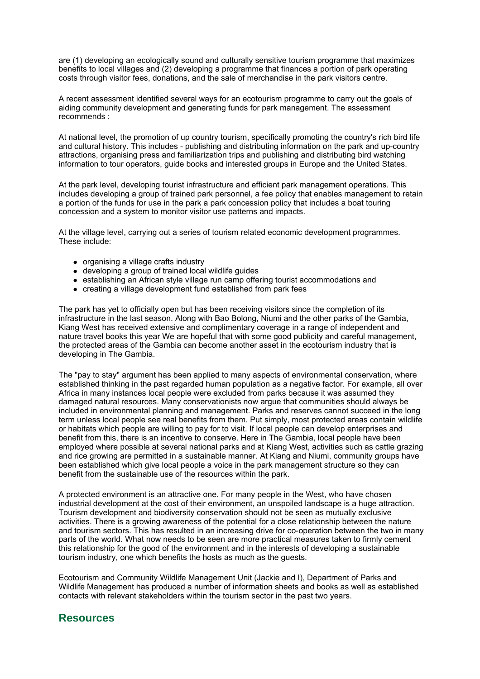are (1) developing an ecologically sound and culturally sensitive tourism programme that maximizes benefits to local villages and (2) developing a programme that finances a portion of park operating costs through visitor fees, donations, and the sale of merchandise in the park visitors centre.

A recent assessment identified several ways for an ecotourism programme to carry out the goals of aiding community development and generating funds for park management. The assessment recommends :

At national level, the promotion of up country tourism, specifically promoting the country's rich bird life and cultural history. This includes - publishing and distributing information on the park and up-country attractions, organising press and familiarization trips and publishing and distributing bird watching information to tour operators, guide books and interested groups in Europe and the United States.

At the park level, developing tourist infrastructure and efficient park management operations. This includes developing a group of trained park personnel, a fee policy that enables management to retain a portion of the funds for use in the park a park concession policy that includes a boat touring concession and a system to monitor visitor use patterns and impacts.

At the village level, carrying out a series of tourism related economic development programmes. These include:

- organising a village crafts industry
- developing a group of trained local wildlife guides
- establishing an African style village run camp offering tourist accommodations and
- creating a village development fund established from park fees

The park has yet to officially open but has been receiving visitors since the completion of its infrastructure in the last season. Along with Bao Bolong, Niumi and the other parks of the Gambia, Kiang West has received extensive and complimentary coverage in a range of independent and nature travel books this year We are hopeful that with some good publicity and careful management, the protected areas of the Gambia can become another asset in the ecotourism industry that is developing in The Gambia.

The "pay to stay" argument has been applied to many aspects of environmental conservation, where established thinking in the past regarded human population as a negative factor. For example, all over Africa in many instances local people were excluded from parks because it was assumed they damaged natural resources. Many conservationists now argue that communities should always be included in environmental planning and management. Parks and reserves cannot succeed in the long term unless local people see real benefits from them. Put simply, most protected areas contain wildlife or habitats which people are willing to pay for to visit. If local people can develop enterprises and benefit from this, there is an incentive to conserve. Here in The Gambia, local people have been employed where possible at several national parks and at Kiang West, activities such as cattle grazing and rice growing are permitted in a sustainable manner. At Kiang and Niumi, community groups have been established which give local people a voice in the park management structure so they can benefit from the sustainable use of the resources within the park.

A protected environment is an attractive one. For many people in the West, who have chosen industrial development at the cost of their environment, an unspoiled landscape is a huge attraction. Tourism development and biodiversity conservation should not be seen as mutually exclusive activities. There is a growing awareness of the potential for a close relationship between the nature and tourism sectors. This has resulted in an increasing drive for co-operation between the two in many parts of the world. What now needs to be seen are more practical measures taken to firmly cement this relationship for the good of the environment and in the interests of developing a sustainable tourism industry, one which benefits the hosts as much as the guests.

Ecotourism and Community Wildlife Management Unit (Jackie and I), Department of Parks and Wildlife Management has produced a number of information sheets and books as well as established contacts with relevant stakeholders within the tourism sector in the past two years.

#### **Resources**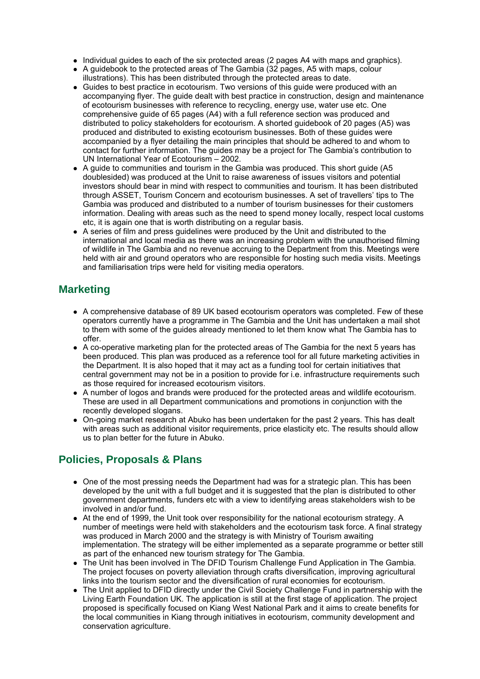- Individual guides to each of the six protected areas (2 pages A4 with maps and graphics).
- $\bullet$  A guidebook to the protected areas of The Gambia (32 pages, A5 with maps, colour illustrations). This has been distributed through the protected areas to date.
- Guides to best practice in ecotourism. Two versions of this guide were produced with an accompanying flyer. The guide dealt with best practice in construction, design and maintenance of ecotourism businesses with reference to recycling, energy use, water use etc. One comprehensive guide of 65 pages (A4) with a full reference section was produced and distributed to policy stakeholders for ecotourism. A shorted guidebook of 20 pages (A5) was produced and distributed to existing ecotourism businesses. Both of these guides were accompanied by a flyer detailing the main principles that should be adhered to and whom to contact for further information. The guides may be a project for The Gambia's contribution to UN International Year of Ecotourism – 2002.
- A guide to communities and tourism in the Gambia was produced. This short guide (A5 doublesided) was produced at the Unit to raise awareness of issues visitors and potential investors should bear in mind with respect to communities and tourism. It has been distributed through ASSET, Tourism Concern and ecotourism businesses. A set of travellers' tips to The Gambia was produced and distributed to a number of tourism businesses for their customers information. Dealing with areas such as the need to spend money locally, respect local customs etc, it is again one that is worth distributing on a regular basis.
- A series of film and press guidelines were produced by the Unit and distributed to the international and local media as there was an increasing problem with the unauthorised filming of wildlife in The Gambia and no revenue accruing to the Department from this. Meetings were held with air and ground operators who are responsible for hosting such media visits. Meetings and familiarisation trips were held for visiting media operators.

# **Marketing**

- A comprehensive database of 89 UK based ecotourism operators was completed. Few of these operators currently have a programme in The Gambia and the Unit has undertaken a mail shot to them with some of the guides already mentioned to let them know what The Gambia has to offer.
- A co-operative marketing plan for the protected areas of The Gambia for the next 5 years has been produced. This plan was produced as a reference tool for all future marketing activities in the Department. It is also hoped that it may act as a funding tool for certain initiatives that central government may not be in a position to provide for i.e. infrastructure requirements such as those required for increased ecotourism visitors.
- A number of logos and brands were produced for the protected areas and wildlife ecotourism. These are used in all Department communications and promotions in conjunction with the recently developed slogans.
- On-going market research at Abuko has been undertaken for the past 2 years. This has dealt with areas such as additional visitor requirements, price elasticity etc. The results should allow us to plan better for the future in Abuko.

# **Policies, Proposals & Plans**

- $\bullet$  One of the most pressing needs the Department had was for a strategic plan. This has been developed by the unit with a full budget and it is suggested that the plan is distributed to other government departments, funders etc with a view to identifying areas stakeholders wish to be involved in and/or fund.
- At the end of 1999, the Unit took over responsibility for the national ecotourism strategy. A number of meetings were held with stakeholders and the ecotourism task force. A final strategy was produced in March 2000 and the strategy is with Ministry of Tourism awaiting implementation. The strategy will be either implemented as a separate programme or better still as part of the enhanced new tourism strategy for The Gambia.
- The Unit has been involved in The DFID Tourism Challenge Fund Application in The Gambia. The project focuses on poverty alleviation through crafts diversification, improving agricultural links into the tourism sector and the diversification of rural economies for ecotourism.
- The Unit applied to DFID directly under the Civil Society Challenge Fund in partnership with the Living Earth Foundation UK. The application is still at the first stage of application. The project proposed is specifically focused on Kiang West National Park and it aims to create benefits for the local communities in Kiang through initiatives in ecotourism, community development and conservation agriculture.